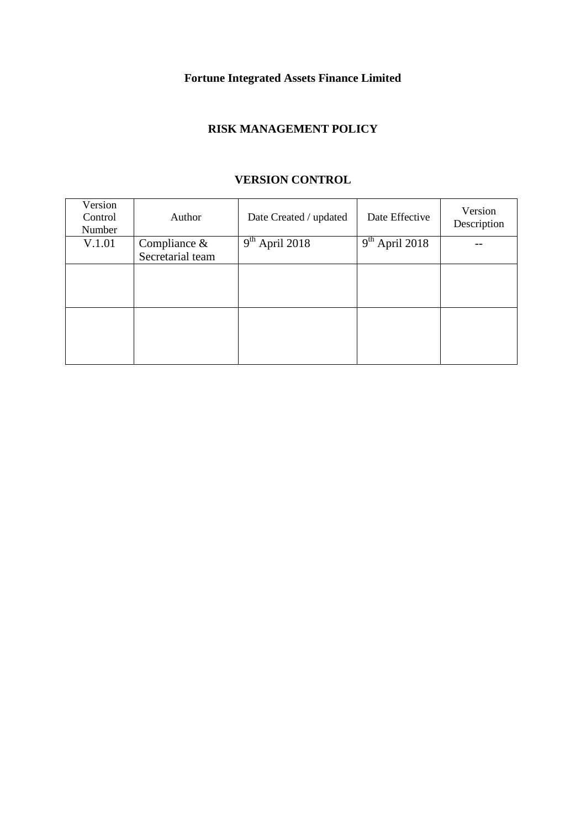# **Fortune Integrated Assets Finance Limited**

## **RISK MANAGEMENT POLICY**

| Version<br>Control<br>Number | Author           | Date Created / updated | Date Effective                          | Version<br>Description |
|------------------------------|------------------|------------------------|-----------------------------------------|------------------------|
| V.1.01                       | Compliance $\&$  | $9th$ April 2018       | $\overline{9}$ <sup>th</sup> April 2018 |                        |
|                              | Secretarial team |                        |                                         |                        |
|                              |                  |                        |                                         |                        |
|                              |                  |                        |                                         |                        |
|                              |                  |                        |                                         |                        |
|                              |                  |                        |                                         |                        |
|                              |                  |                        |                                         |                        |
|                              |                  |                        |                                         |                        |
|                              |                  |                        |                                         |                        |

### **VERSION CONTROL**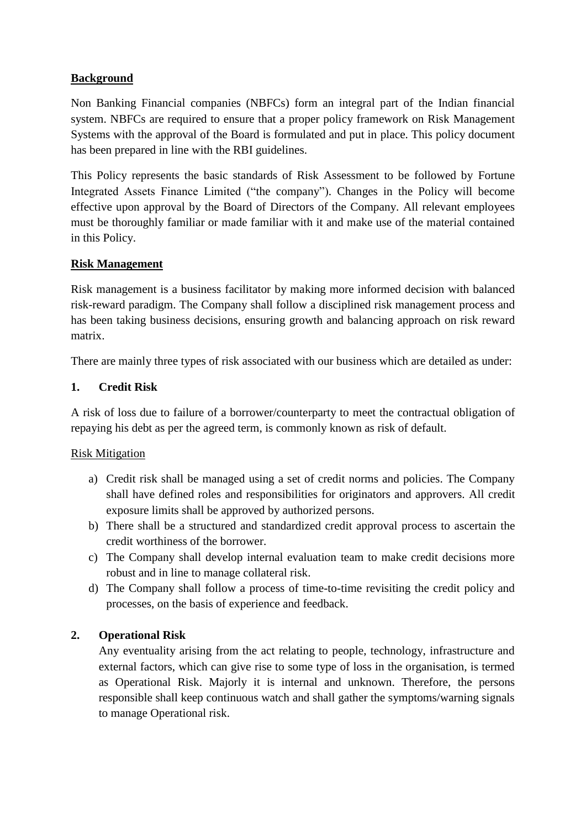### **Background**

Non Banking Financial companies (NBFCs) form an integral part of the Indian financial system. NBFCs are required to ensure that a proper policy framework on Risk Management Systems with the approval of the Board is formulated and put in place. This policy document has been prepared in line with the RBI guidelines.

This Policy represents the basic standards of Risk Assessment to be followed by Fortune Integrated Assets Finance Limited ("the company"). Changes in the Policy will become effective upon approval by the Board of Directors of the Company. All relevant employees must be thoroughly familiar or made familiar with it and make use of the material contained in this Policy.

### **Risk Management**

Risk management is a business facilitator by making more informed decision with balanced risk-reward paradigm. The Company shall follow a disciplined risk management process and has been taking business decisions, ensuring growth and balancing approach on risk reward matrix.

There are mainly three types of risk associated with our business which are detailed as under:

### **1. Credit Risk**

A risk of loss due to failure of a borrower/counterparty to meet the contractual obligation of repaying his debt as per the agreed term, is commonly known as risk of default.

#### Risk Mitigation

- a) Credit risk shall be managed using a set of credit norms and policies. The Company shall have defined roles and responsibilities for originators and approvers. All credit exposure limits shall be approved by authorized persons.
- b) There shall be a structured and standardized credit approval process to ascertain the credit worthiness of the borrower.
- c) The Company shall develop internal evaluation team to make credit decisions more robust and in line to manage collateral risk.
- d) The Company shall follow a process of time-to-time revisiting the credit policy and processes, on the basis of experience and feedback.

### **2. Operational Risk**

Any eventuality arising from the act relating to people, technology, infrastructure and external factors, which can give rise to some type of loss in the organisation, is termed as Operational Risk. Majorly it is internal and unknown. Therefore, the persons responsible shall keep continuous watch and shall gather the symptoms/warning signals to manage Operational risk.